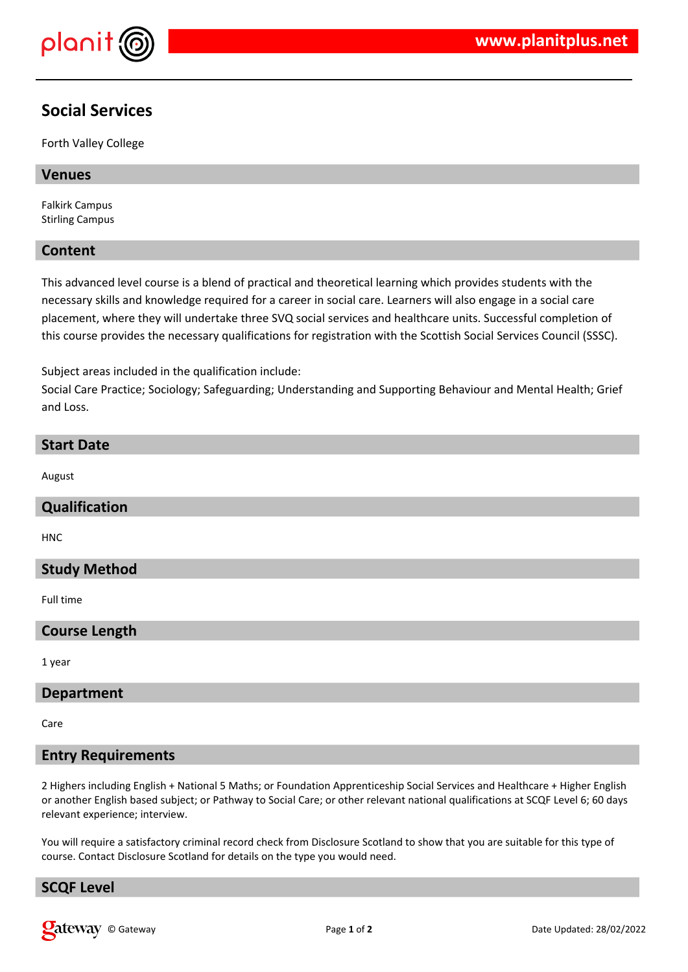

# **Social Services**

Forth Valley College

#### **Venues**

Falkirk Campus Stirling Campus

#### **Content**

This advanced level course is a blend of practical and theoretical learning which provides students with the necessary skills and knowledge required for a career in social care. Learners will also engage in a social care placement, where they will undertake three SVQ social services and healthcare units. Successful completion of this course provides the necessary qualifications for registration with the Scottish Social Services Council (SSSC).

Subject areas included in the qualification include:

Social Care Practice; Sociology; Safeguarding; Understanding and Supporting Behaviour and Mental Health; Grief and Loss.

#### **Start Date**

August

## **Qualification**

HNC

## **Study Method**

Full time

## **Course Length**

1 year

#### **Department**

Care

## **Entry Requirements**

2 Highers including English + National 5 Maths; or Foundation Apprenticeship Social Services and Healthcare + Higher English or another English based subject; or Pathway to Social Care; or other relevant national qualifications at SCQF Level 6; 60 days relevant experience; interview.

You will require a satisfactory criminal record check from Disclosure Scotland to show that you are suitable for this type of course. Contact Disclosure Scotland for details on the type you would need.

## **SCQF Level**

**Qateway** © Gateway **Page 1** of 2 Page 1 of 2 Date Updated: 28/02/2022